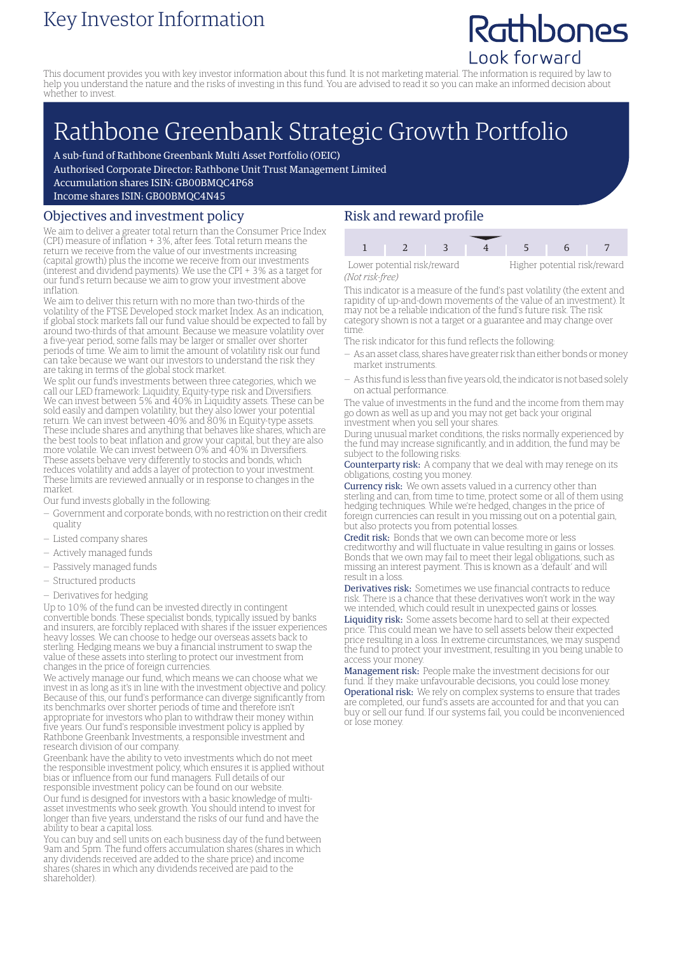### Key Investor Information

## Rathbones Look forward

potential risk/reward

This document provides you with key investor information about this fund. It is not marketing material. The information is required by law to help you understand the nature and the risks of investing in this fund. You are advised to read it so you can make an informed decision about whether to invest.

# Rathbone Greenbank Strategic Growth Portfolio

A sub-fund of Rathbone Greenbank Multi Asset Portfolio (OEIC)

Authorised Corporate Director: Rathbone Unit Trust Management Limited

Accumulation shares ISIN: GB00BMQC4P68

Income shares ISIN: GB00BMQC4N45

#### Objectives and investment policy

We aim to deliver a greater total return than the Consumer Price Index (CPI) measure of inflation + 3%, after fees. Total return means the return we receive from the value of our investments increasing (capital growth) plus the income we receive from our investments (interest and dividend payments). We use the CPI + 3% as a target for our fund's return because we aim to grow your investment above inflation.

We aim to deliver this return with no more than two-thirds of the volatility of the FTSE Developed stock market Index. As an indication, if global stock markets fall our fund value should be expected to fall by around two-thirds of that amount. Because we measure volatility over a five-year period, some falls may be larger or smaller over shorter periods of time. We aim to limit the amount of volatility risk our fund can take because we want our investors to understand the risk they are taking in terms of the global stock market.

We split our fund's investments between three categories, which we call our LED framework: Liquidity, Equity-type risk and Diversifiers. We can invest between 5% and 40% in Liquidity assets. These can be sold easily and dampen volatility, but they also lower your potential return. We can invest between 40% and 80% in Equity-type assets. These include shares and anything that behaves like shares, which are the best tools to beat inflation and grow your capital, but they are also more volatile. We can invest between 0% and 40% in Diversifiers. These assets behave very differently to stocks and bonds, which reduces volatility and adds a layer of protection to your investment. These limits are reviewed annually or in response to changes in the market.

Our fund invests globally in the following:

- Government and corporate bonds, with no restriction on their credit quality
- Listed company shares
- Actively managed funds
- Passively managed funds
- Structured products
- Derivatives for hedging

Up to 10% of the fund can be invested directly in contingent convertible bonds. These specialist bonds, typically issued by banks and insurers, are forcibly replaced with shares if the issuer experiences heavy losses. We can choose to hedge our overseas assets back to sterling. Hedging means we buy a financial instrument to swap the value of these assets into sterling to protect our investment from changes in the price of foreign currencies.

We actively manage our fund, which means we can choose what we invest in as long as it's in line with the investment objective and policy. Because of this, our fund's performance can diverge significantly from its benchmarks over shorter periods of time and therefore isn't appropriate for investors who plan to withdraw their money within five years. Our fund's responsible investment policy is applied by Rathbone Greenbank Investments, a responsible investment and research division of our company.

Greenbank have the ability to veto investments which do not meet the responsible investment policy, which ensures it is applied without bias or influence from our fund managers. Full details of our responsible investment policy can be found on our website. Our fund is designed for investors with a basic knowledge of multiasset investments who seek growth. You should intend to invest for longer than five years, understand the risks of our fund and have the ability to bear a capital loss.

You can buy and sell units on each business day of the fund between 9am and 5pm. The fund offers accumulation shares (shares in which any dividends received are added to the share price) and income shares (shares in which any dividends received are paid to the shareholder).

#### Risk and reward profile

| Lower potential risk/reward |  | Higher potential risk/rew |  |  |  |  |
|-----------------------------|--|---------------------------|--|--|--|--|
| (Not risk-free)             |  |                           |  |  |  |  |

This indicator is a measure of the fund's past volatility (the extent and rapidity of up-and-down movements of the value of an investment). It may not be a reliable indication of the fund's future risk. The risk category shown is not a target or a guarantee and may change over time.

The risk indicator for this fund reflects the following:

- As an asset class, shares have greater risk than either bonds ormoney market instruments.
- As this fund is less than five years old, the indicator is not based solely on actual performance.

The value of investments in the fund and the income from them may go down as well as up and you may not get back your original investment when you sell your shares.

During unusual market conditions, the risks normally experienced by the fund may increase significantly, and in addition, the fund may be subject to the following risks:

Counterparty risk: A company that we deal with may renege on its obligations, costing you money.

Currency risk: We own assets valued in a currency other than sterling and can, from time to time, protect some or all of them using hedging techniques. While we're hedged, changes in the price of foreign currencies can result in you missing out on a potential gain, but also protects you from potential losses.

Credit risk: Bonds that we own can become more or less creditworthy and will fluctuate in value resulting in gains or losses. Bonds that we own may fail to meet their legal obligations, such as missing an interest payment. This is known as a 'default' and will result in a loss.

Derivatives risk: Sometimes we use financial contracts to reduce risk. There is a chance that these derivatives won't work in the way we intended, which could result in unexpected gains or losses.

Liquidity risk: Some assets become hard to sell at their expected price. This could mean we have to sell assets below their expected price resulting in a loss. In extreme circumstances, we may suspend the fund to protect your investment, resulting in you being unable to access your money.

Management risk: People make the investment decisions for our fund. If they make unfavourable decisions, you could lose money. Operational risk: We rely on complex systems to ensure that trades are completed, our fund's assets are accounted for and that you can buy or sell our fund. If our systems fail, you could be inconvenienced or lose money.